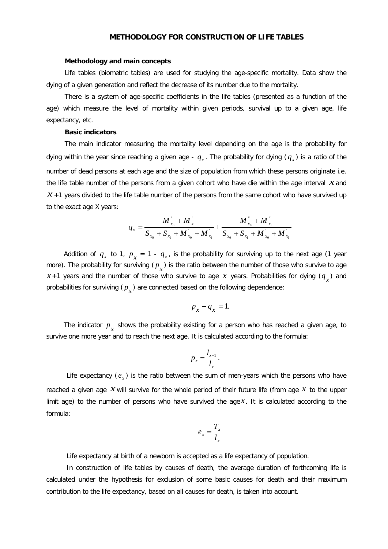## **METHODOLOGY FOR CONSTRUCTION OF LIFE TABLES**

## **Methodology and main concepts**

Life tables (biometric tables) are used for studying the age-specific mortality. Data show the dying of a given generation and reflect the decrease of its number due to the mortality.

There is a system of age-specific coefficients in the life tables (presented as a function of the age) which measure the level of mortality within given periods, survival up to a given age, life expectancy, etc.

## **Basic indicators**

The main indicator measuring the mortality level depending on the age is the probability for dying within the year since reaching a given age -  $q_x$ . The probability for dying  $(q_x)$  is a ratio of the number of dead persons at each age and the size of population from which these persons originate i.e. the life table number of the persons from a given cohort who have die within the age interval *x* and  $x + 1$  years divided to the life table number of the persons from the same cohort who have survived up to the exact age X years:

$$
q_{x} = \frac{M_{x_{0}}^{'} + M_{x_{1}}^{'} + M_{x_{0}}^{'} + M_{x_{0}}^{''} + M_{x_{0}}^{''}}{S_{x_{0}} + S_{x_{1}} + M_{x_{0}}^{'} + M_{x_{1}}^{'} + M_{x_{1}}^{'} + M_{x_{1}}^{'}}
$$

Addition of  $q_x$  to 1,  $p_x = 1 - q_x$ , is the probability for surviving up to the next age (1 year more). The probability for surviving  $(p_x)$  is the ratio between the number of those who survive to age  $x+1$  years and the number of those who survive to age x years. Probabilities for dying  $(q<sub>r</sub>)$  and probabilities for surviving  $(p<sub>x</sub>)$  are connected based on the following dependence:

$$
p_{x} + q_{x} = 1.
$$

The indicator  $p_{x}^{\prime}$  shows the probability existing for a person who has reached a given age, to survive one more year and to reach the next age. It is calculated according to the formula:

$$
p_x = \frac{l_{x+1}}{l_x}.
$$

Life expectancy  $(e_x)$  is the ratio between the sum of men-years which the persons who have reached a given age  $x$  will survive for the whole period of their future life (from age  $x$  to the upper limit age) to the number of persons who have survived the age  $x$ . It is calculated according to the formula:

$$
e_x = \frac{T_x}{l_x}
$$

Life expectancy at birth of a newborn is accepted as a life expectancy of population.

In construction of life tables by causes of death, the average duration of forthcoming life is calculated under the hypothesis for exclusion of some basic causes for death and their maximum contribution to the life expectancy, based on all causes for death, is taken into account.